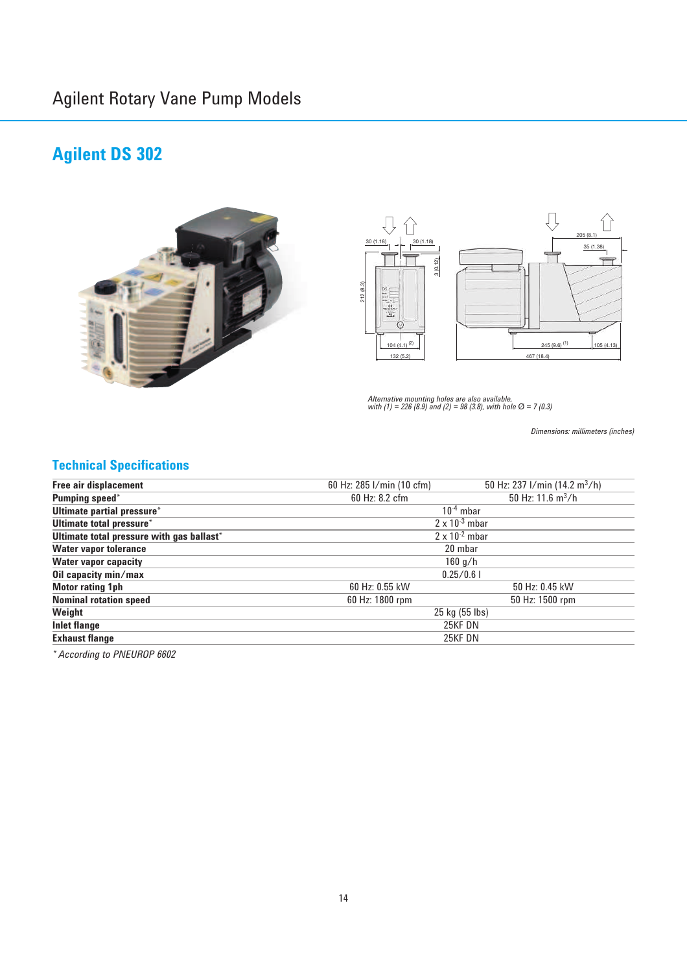## **Agilent DS 302**





*Alternative mounting holes are also available, with (1) = 226 (8.9) and (2) = 98 (3.8), with hole* Ø *= 7 (0.3)*

*Dimensions: millimeters (inches)*

### **Technical Specifications**

| <b>Free air displacement</b>              | 60 Hz: 285 I/min (10 cfm) | 50 Hz: 237 l/min (14.2 m <sup>3</sup> /h) |  |
|-------------------------------------------|---------------------------|-------------------------------------------|--|
| Pumping speed*                            | 60 Hz: 8.2 cfm            | 50 Hz: $11.6 \text{ m}^3/h$               |  |
| Ultimate partial pressure*                | $10^{-4}$ mbar            |                                           |  |
| Ultimate total pressure*                  | $2 \times 10^{-3}$ mbar   |                                           |  |
| Ultimate total pressure with gas ballast* | $2 \times 10^{-2}$ mbar   |                                           |  |
| <b>Water vapor tolerance</b>              | 20 mbar                   |                                           |  |
| <b>Water vapor capacity</b>               | $160$ g/h                 |                                           |  |
| Oil capacity min/max                      | 0.25/0.6                  |                                           |  |
| <b>Motor rating 1ph</b>                   | 60 Hz: 0.55 kW            | 50 Hz: 0.45 kW                            |  |
| <b>Nominal rotation speed</b>             | 60 Hz: 1800 rpm           | 50 Hz: 1500 rpm                           |  |
| Weight                                    | 25 kg (55 lbs)            |                                           |  |
| <b>Inlet flange</b>                       | 25KF DN                   |                                           |  |
| <b>Exhaust flange</b>                     | 25KF DN                   |                                           |  |
|                                           |                           |                                           |  |

*\* According to PNEUROP 6602*